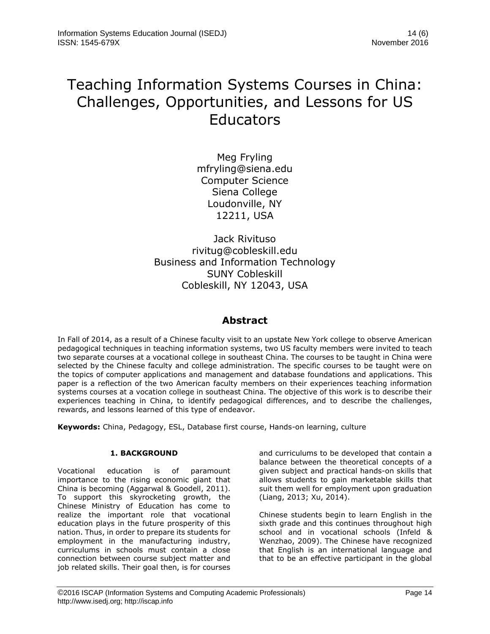# Teaching Information Systems Courses in China: Challenges, Opportunities, and Lessons for US **Educators**

Meg Fryling mfryling@siena.edu Computer Science Siena College Loudonville, NY 12211, USA

Jack Rivituso rivitug@cobleskill.edu Business and Information Technology SUNY Cobleskill Cobleskill, NY 12043, USA

# **Abstract**

In Fall of 2014, as a result of a Chinese faculty visit to an upstate New York college to observe American pedagogical techniques in teaching information systems, two US faculty members were invited to teach two separate courses at a vocational college in southeast China. The courses to be taught in China were selected by the Chinese faculty and college administration. The specific courses to be taught were on the topics of computer applications and management and database foundations and applications. This paper is a reflection of the two American faculty members on their experiences teaching information systems courses at a vocation college in southeast China. The objective of this work is to describe their experiences teaching in China, to identify pedagogical differences, and to describe the challenges, rewards, and lessons learned of this type of endeavor.

**Keywords:** China, Pedagogy, ESL, Database first course, Hands-on learning, culture

# **1. BACKGROUND**

Vocational education is of paramount importance to the rising economic giant that China is becoming [\(Aggarwal & Goodell, 2011\)](#page-5-0). To support this skyrocketing growth, the Chinese Ministry of Education has come to realize the important role that vocational education plays in the future prosperity of this nation. Thus, in order to prepare its students for employment in the manufacturing industry, curriculums in schools must contain a close connection between course subject matter and job related skills. Their goal then, is for courses

and curriculums to be developed that contain a balance between the theoretical concepts of a given subject and practical hands-on skills that allows students to gain marketable skills that suit them well for employment upon graduation [\(Liang, 2013;](#page-5-1) [Xu, 2014\)](#page-5-2).

Chinese students begin to learn English in the sixth grade and this continues throughout high school and in vocational schools [\(Infeld &](#page-5-3)  [Wenzhao, 2009\)](#page-5-3). The Chinese have recognized that English is an international language and that to be an effective participant in the global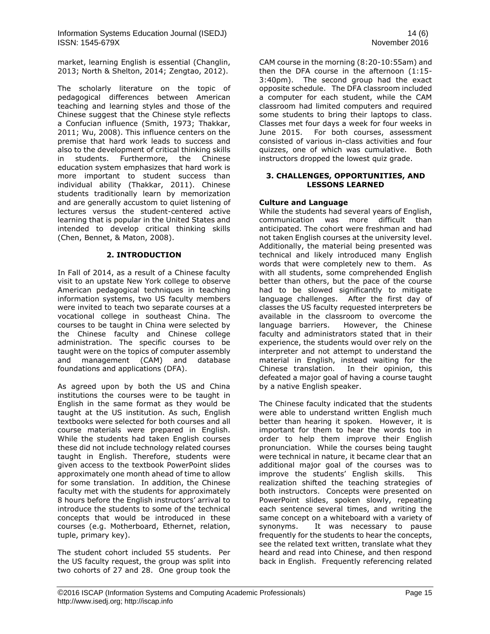Information Systems Education Journal (ISEDJ) 14 (6) ISSN: 1545-679X November 2016

market, learning English is essential [\(Changlin,](#page-5-4)  [2013;](#page-5-4) [North & Shelton, 2014;](#page-5-5) [Zengtao, 2012\)](#page-5-6).

The scholarly literature on the topic of pedagogical differences between American teaching and learning styles and those of the Chinese suggest that the Chinese style reflects a Confucian influence [\(Smith, 1973;](#page-5-7) [Thakkar,](#page-5-8)  [2011;](#page-5-8) [Wu, 2008\)](#page-5-9). This influence centers on the premise that hard work leads to success and also to the development of critical thinking skills in students. Furthermore, the Chinese education system emphasizes that hard work is more important to student success than individual ability [\(Thakkar, 2011\)](#page-5-8). Chinese students traditionally learn by memorization and are generally accustom to quiet listening of lectures versus the student-centered active learning that is popular in the United States and intended to develop critical thinking skills [\(Chen, Bennet, & Maton, 2008\)](#page-5-10).

#### **2. INTRODUCTION**

In Fall of 2014, as a result of a Chinese faculty visit to an upstate New York college to observe American pedagogical techniques in teaching information systems, two US faculty members were invited to teach two separate courses at a vocational college in southeast China. The courses to be taught in China were selected by the Chinese faculty and Chinese college administration. The specific courses to be taught were on the topics of computer assembly and management (CAM) and database foundations and applications (DFA).

As agreed upon by both the US and China institutions the courses were to be taught in English in the same format as they would be taught at the US institution. As such, English textbooks were selected for both courses and all course materials were prepared in English. While the students had taken English courses these did not include technology related courses taught in English. Therefore, students were given access to the textbook PowerPoint slides approximately one month ahead of time to allow for some translation. In addition, the Chinese faculty met with the students for approximately 8 hours before the English instructors' arrival to introduce the students to some of the technical concepts that would be introduced in these courses (e.g. Motherboard, Ethernet, relation, tuple, primary key).

The student cohort included 55 students. Per the US faculty request, the group was split into two cohorts of 27 and 28. One group took the CAM course in the morning (8:20-10:55am) and then the DFA course in the afternoon (1:15- 3:40pm). The second group had the exact opposite schedule. The DFA classroom included a computer for each student, while the CAM classroom had limited computers and required some students to bring their laptops to class. Classes met four days a week for four weeks in June 2015. For both courses, assessment consisted of various in-class activities and four quizzes, one of which was cumulative. Both instructors dropped the lowest quiz grade.

#### **3. CHALLENGES, OPPORTUNITIES, AND LESSONS LEARNED**

### **Culture and Language**

While the students had several years of English, communication was more difficult than anticipated. The cohort were freshman and had not taken English courses at the university level. Additionally, the material being presented was technical and likely introduced many English words that were completely new to them. As with all students, some comprehended English better than others, but the pace of the course had to be slowed significantly to mitigate language challenges. After the first day of classes the US faculty requested interpreters be available in the classroom to overcome the language barriers. However, the Chinese faculty and administrators stated that in their experience, the students would over rely on the interpreter and not attempt to understand the material in English, instead waiting for the Chinese translation. In their opinion, this defeated a major goal of having a course taught by a native English speaker.

The Chinese faculty indicated that the students were able to understand written English much better than hearing it spoken. However, it is important for them to hear the words too in order to help them improve their English pronunciation. While the courses being taught were technical in nature, it became clear that an additional major goal of the courses was to improve the students' English skills. This realization shifted the teaching strategies of both instructors. Concepts were presented on PowerPoint slides, spoken slowly, repeating each sentence several times, and writing the same concept on a whiteboard with a variety of synonyms. It was necessary to pause frequently for the students to hear the concepts, see the related text written, translate what they heard and read into Chinese, and then respond back in English. Frequently referencing related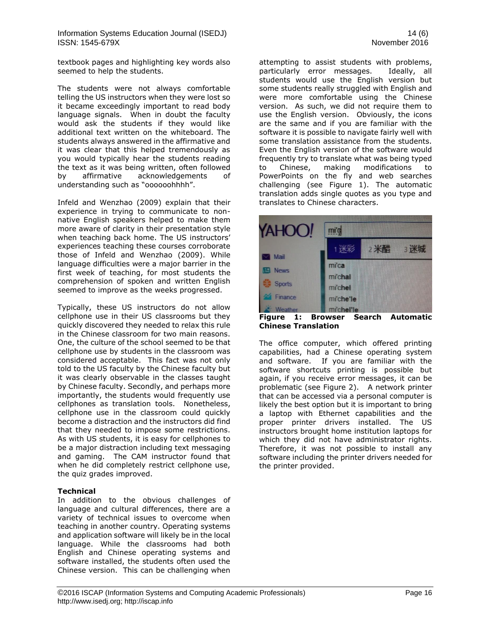textbook pages and highlighting key words also seemed to help the students.

The students were not always comfortable telling the US instructors when they were lost so it became exceedingly important to read body language signals. When in doubt the faculty would ask the students if they would like additional text written on the whiteboard. The students always answered in the affirmative and it was clear that this helped tremendously as you would typically hear the students reading the text as it was being written, often followed by affirmative acknowledgements of understanding such as "oooooohhhh".

Infeld and Wenzhao [\(2009\)](#page-5-3) explain that their experience in trying to communicate to nonnative English speakers helped to make them more aware of clarity in their presentation style when teaching back home. The US instructors' experiences teaching these courses corroborate those of Infeld and Wenzhao [\(2009\)](#page-5-3). While language difficulties were a major barrier in the first week of teaching, for most students the comprehension of spoken and written English seemed to improve as the weeks progressed.

Typically, these US instructors do not allow cellphone use in their US classrooms but they quickly discovered they needed to relax this rule in the Chinese classroom for two main reasons. One, the culture of the school seemed to be that cellphone use by students in the classroom was considered acceptable. This fact was not only told to the US faculty by the Chinese faculty but it was clearly observable in the classes taught by Chinese faculty. Secondly, and perhaps more importantly, the students would frequently use cellphones as translation tools. Nonetheless, cellphone use in the classroom could quickly become a distraction and the instructors did find that they needed to impose some restrictions. As with US students, it is easy for cellphones to be a major distraction including text messaging and gaming. The CAM instructor found that when he did completely restrict cellphone use, the quiz grades improved.

#### **Technical**

In addition to the obvious challenges of language and cultural differences, there are a variety of technical issues to overcome when teaching in another country. Operating systems and application software will likely be in the local language. While the classrooms had both English and Chinese operating systems and software installed, the students often used the Chinese version. This can be challenging when attempting to assist students with problems, particularly error messages. Ideally, all students would use the English version but some students really struggled with English and were more comfortable using the Chinese version. As such, we did not require them to use the English version. Obviously, the icons are the same and if you are familiar with the software it is possible to navigate fairly well with some translation assistance from the students. Even the English version of the software would frequently try to translate what was being typed to Chinese, making modifications to PowerPoints on the fly and web searches challenging (see Figure 1). The automatic translation adds single quotes as you type and translates to Chinese characters.



**Figure 1: Browser Search Automatic Chinese Translation** 

The office computer, which offered printing capabilities, had a Chinese operating system and software. If you are familiar with the software shortcuts printing is possible but again, if you receive error messages, it can be problematic (see Figure 2). A network printer that can be accessed via a personal computer is likely the best option but it is important to bring a laptop with Ethernet capabilities and the proper printer drivers installed. The US instructors brought home institution laptops for which they did not have administrator rights. Therefore, it was not possible to install any software including the printer drivers needed for the printer provided.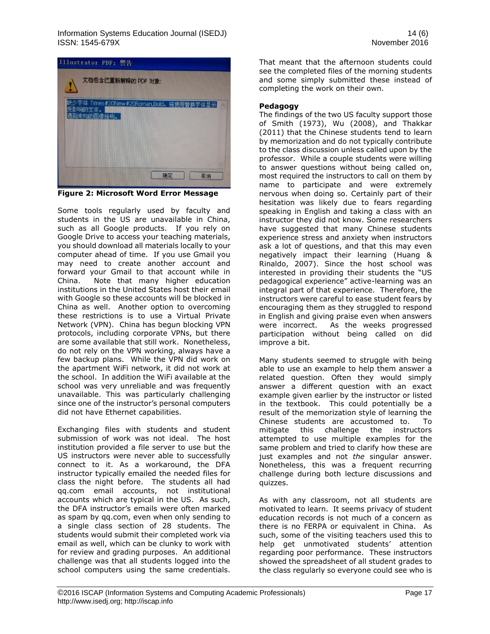

**Figure 2: Microsoft Word Error Message**

Some tools regularly used by faculty and students in the US are unavailable in China, such as all Google products. If you rely on Google Drive to access your teaching materials, you should download all materials locally to your computer ahead of time. If you use Gmail you may need to create another account and forward your Gmail to that account while in China. Note that many higher education institutions in the United States host their email with Google so these accounts will be blocked in China as well. Another option to overcoming these restrictions is to use a Virtual Private Network (VPN). China has begun blocking VPN protocols, including corporate VPNs, but there are some available that still work. Nonetheless, do not rely on the VPN working, always have a few backup plans. While the VPN did work on the apartment WiFi network, it did not work at the school. In addition the WiFi available at the school was very unreliable and was frequently unavailable. This was particularly challenging since one of the instructor's personal computers did not have Ethernet capabilities.

Exchanging files with students and student submission of work was not ideal. The host institution provided a file server to use but the US instructors were never able to successfully connect to it. As a workaround, the DFA instructor typically emailed the needed files for class the night before. The students all had qq.com email accounts, not institutional accounts which are typical in the US. As such, the DFA instructor's emails were often marked as spam by qq.com, even when only sending to a single class section of 28 students. The students would submit their completed work via email as well, which can be clunky to work with for review and grading purposes. An additional challenge was that all students logged into the school computers using the same credentials.

That meant that the afternoon students could see the completed files of the morning students and some simply submitted these instead of completing the work on their own.

# **Pedagogy**

The findings of the two US faculty support those of Smith [\(1973\)](#page-5-7), Wu [\(2008\)](#page-5-9), and Thakkar [\(2011\)](#page-5-8) that the Chinese students tend to learn by memorization and do not typically contribute to the class discussion unless called upon by the professor. While a couple students were willing to answer questions without being called on, most required the instructors to call on them by name to participate and were extremely nervous when doing so. Certainly part of their hesitation was likely due to fears regarding speaking in English and taking a class with an instructor they did not know. Some researchers have suggested that many Chinese students experience stress and anxiety when instructors ask a lot of questions, and that this may even negatively impact their learning [\(Huang](#page-5-11) & [Rinaldo, 2007\)](#page-5-11). Since the host school was interested in providing their students the "US pedagogical experience" active-learning was an integral part of that experience. Therefore, the instructors were careful to ease student fears by encouraging them as they struggled to respond in English and giving praise even when answers were incorrect. As the weeks progressed participation without being called on did improve a bit.

Many students seemed to struggle with being able to use an example to help them answer a related question. Often they would simply answer a different question with an exact example given earlier by the instructor or listed in the textbook. This could potentially be a result of the memorization style of learning the Chinese students are accustomed to. To mitigate this challenge the instructors attempted to use multiple examples for the same problem and tried to clarify how these are just examples and not *the* singular answer. Nonetheless, this was a frequent recurring challenge during both lecture discussions and quizzes.

As with any classroom, not all students are motivated to learn. It seems privacy of student education records is not much of a concern as there is no FERPA or equivalent in China. As such, some of the visiting teachers used this to help get unmotivated students' attention regarding poor performance. These instructors showed the spreadsheet of all student grades to the class regularly so everyone could see who is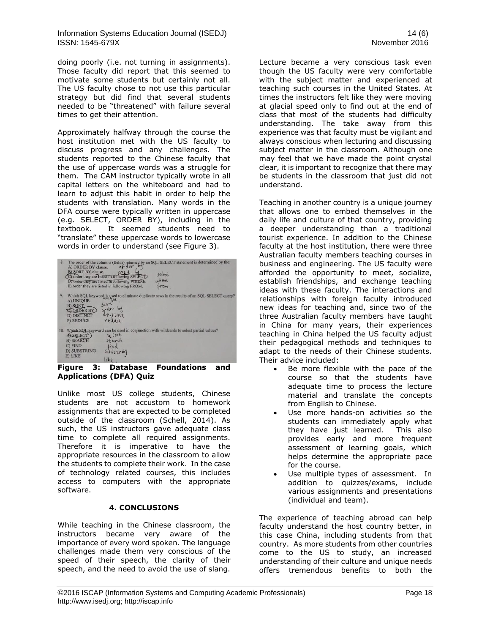Information Systems Education Journal (ISEDJ) 14 (6) ISSN: 1545-679X November 2016

doing poorly (i.e. not turning in assignments). Those faculty did report that this seemed to motivate some students but certainly not all. The US faculty chose to not use this particular strategy but did find that several students needed to be "threatened" with failure several times to get their attention.

Approximately halfway through the course the host institution met with the US faculty to discuss progress and any challenges. The students reported to the Chinese faculty that the use of uppercase words was a struggle for them. The CAM instructor typically wrote in all capital letters on the whiteboard and had to learn to adjust this habit in order to help the students with translation. Many words in the DFA course were typically written in uppercase (e.g. SELECT, ORDER BY), including in the textbook. It seemed students need to "translate" these uppercase words to lowercase words in order to understand (see Figure 3).

| 8. | The order of the columns (fields) returned by an SQL SELECT statement is determined by the:<br>order<br>A) ORDER BY clause.<br>B) SORT BY clause.<br>select<br>C) order they are listed in following SELECT.<br>where<br>D) order they are listed in following WHERE.<br>E) order they are listed in following FROM. |
|----|----------------------------------------------------------------------------------------------------------------------------------------------------------------------------------------------------------------------------------------------------------------------------------------------------------------------|
| 9. | Which SQL keyword is used to eliminate duplicate rows in the results of an SQL SELECT query?<br>A) INJIOUE<br>A) UNIOUE<br>51N <sup>4</sup><br><b>B) SORT</b><br>grater<br><b>QORDER BY</b><br>distinct<br><b>D) DISTINCT</b><br>veduce<br>E) REDUCE                                                                 |
|    | 10. Which SQL keyword can be used in conjunction with wildcards to select partial values?<br>Se lect<br>ASELECT<br>sparch<br><b>B) SEARCH</b><br>$C)$ $FIND$<br>tind<br><b>D) SUBSTRING</b><br>E) LIKE                                                                                                               |

#### **Figure 3: Database Foundations and Applications (DFA) Quiz**

Unlike most US college students, Chinese students are not accustom to homework assignments that are expected to be completed outside of the classroom [\(Schell, 2014\)](#page-5-12). As such, the US instructors gave adequate class time to complete all required assignments. Therefore it is imperative to have the appropriate resources in the classroom to allow the students to complete their work. In the case of technology related courses, this includes access to computers with the appropriate software.

#### **4. CONCLUSIONS**

While teaching in the Chinese classroom, the instructors became very aware of the importance of every word spoken. The language challenges made them very conscious of the speed of their speech, the clarity of their speech, and the need to avoid the use of slang.

Lecture became a very conscious task even though the US faculty were very comfortable with the subject matter and experienced at teaching such courses in the United States. At times the instructors felt like they were moving at glacial speed only to find out at the end of class that most of the students had difficulty understanding. The take away from this experience was that faculty must be vigilant and always conscious when lecturing and discussing subject matter in the classroom. Although one may feel that we have made the point crystal clear, it is important to recognize that there may be students in the classroom that just did not understand.

Teaching in another country is a unique journey that allows one to embed themselves in the daily life and culture of that country, providing a deeper understanding than a traditional tourist experience. In addition to the Chinese faculty at the host institution, there were three Australian faculty members teaching courses in business and engineering. The US faculty were afforded the opportunity to meet, socialize, establish friendships, and exchange teaching ideas with these faculty. The interactions and relationships with foreign faculty introduced new ideas for teaching and, since two of the three Australian faculty members have taught in China for many years, their experiences teaching in China helped the US faculty adjust their pedagogical methods and techniques to adapt to the needs of their Chinese students. Their advice included:

- Be more flexible with the pace of the course so that the students have adequate time to process the lecture material and translate the concepts from English to Chinese.
- Use more hands-on activities so the students can immediately apply what they have just learned. This also provides early and more frequent assessment of learning goals, which helps determine the appropriate pace for the course.
- Use multiple types of assessment. In addition to quizzes/exams, include various assignments and presentations (individual and team).

The experience of teaching abroad can help faculty understand the host country better, in this case China, including students from that country. As more students from other countries come to the US to study, an increased understanding of their culture and unique needs offers tremendous benefits to both the